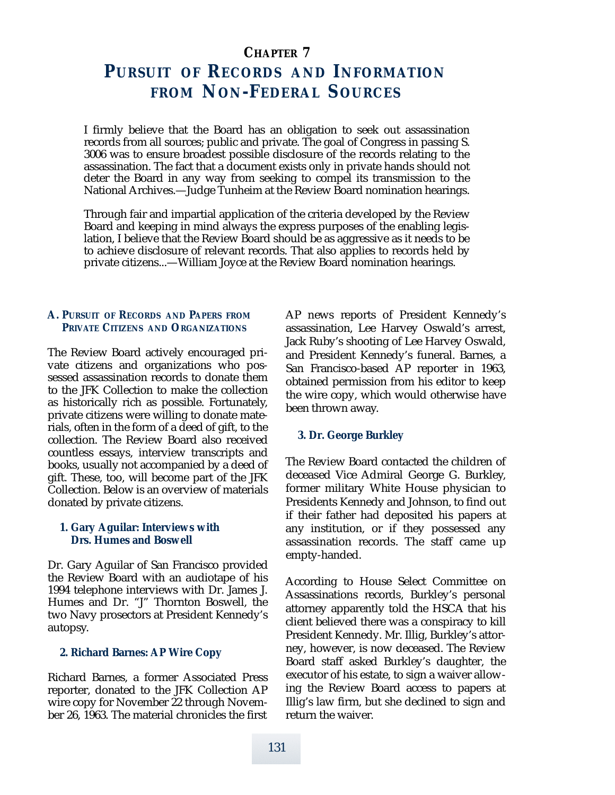# **CHAPTER 7 PURSUIT OF RECORDS AND INFORMATION FROM NON-FEDERAL SOURCES**

I firmly believe that the Board has an obligation to seek out assassination records from all sources; public and private. The goal of Congress in passing S. 3006 was to ensure broadest possible disclosure of the records relating to the assassination. The fact that a document exists only in private hands should not deter the Board in any way from seeking to compel its transmission to the National Archives.—Judge Tunheim at the Review Board nomination hearings.

Through fair and impartial application of the criteria developed by the Review Board and keeping in mind always the express purposes of the enabling legislation, I believe that the Review Board should be as aggressive as it needs to be to achieve disclosure of relevant records. That also applies to records held by private citizens...—William Joyce at the Review Board nomination hearings.

## **A. PURSUIT OF RECORDS AND PAPERS FROM PRIVATE CITIZENS AND ORGANIZATIONS**

The Review Board actively encouraged private citizens and organizations who possessed assassination records to donate them to the JFK Collection to make the collection as historically rich as possible. Fortunately, private citizens were willing to donate materials, often in the form of a deed of gift, to the collection. The Review Board also received countless essays, interview transcripts and books, usually not accompanied by a deed of gift. These, too, will become part of the JFK Collection. Below is an overview of materials donated by private citizens.

#### **1. Gary Aguilar: Interviews with Drs. Humes and Boswell**

Dr. Gary Aguilar of San Francisco provided the Review Board with an audiotape of his 1994 telephone interviews with Dr. James J. Humes and Dr. "J" Thornton Boswell, the two Navy prosectors at President Kennedy's autopsy.

## **2. Richard Barnes: AP Wire Copy**

Richard Barnes, a former Associated Press reporter, donated to the JFK Collection AP wire copy for November 22 through November 26, 1963. The material chronicles the first

AP news reports of President Kennedy's assassination, Lee Harvey Oswald's arrest, Jack Ruby's shooting of Lee Harvey Oswald, and President Kennedy's funeral. Barnes, a San Francisco-based AP reporter in 1963, obtained permission from his editor to keep the wire copy, which would otherwise have been thrown away.

## **3. Dr. George Burkley**

The Review Board contacted the children of deceased Vice Admiral George G. Burkley, former military White House physician to Presidents Kennedy and Johnson, to find out if their father had deposited his papers at any institution, or if they possessed any assassination records. The staff came up empty-handed.

According to House Select Committee on Assassinations records, Burkley's personal attorney apparently told the HSCA that his client believed there was a conspiracy to kill President Kennedy. Mr. Illig, Burkley's attorney, however, is now deceased. The Review Board staff asked Burkley's daughter, the executor of his estate, to sign a waiver allowing the Review Board access to papers at Illig's law firm, but she declined to sign and return the waiver.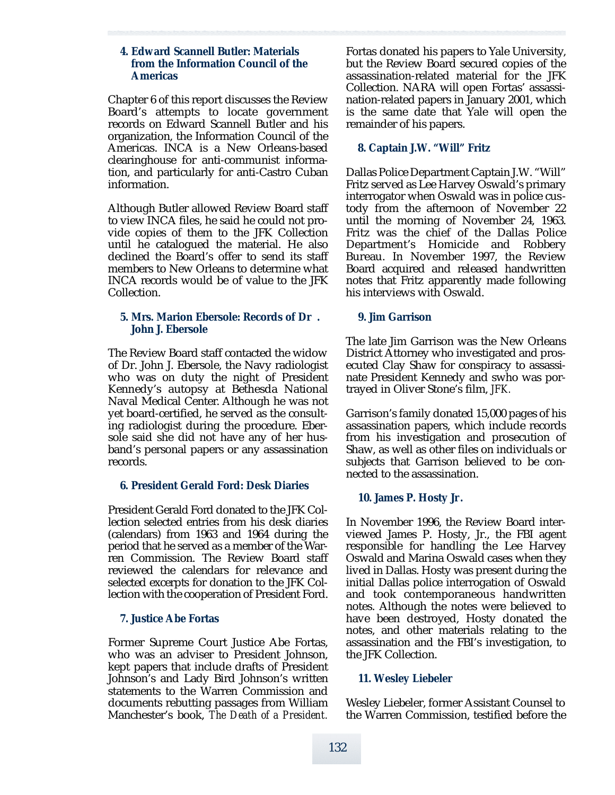#### **4. Edward Scannell Butler: Materials from the Information Council of the Americas**

Chapter 6 of this report discusses the Review Board's attempts to locate government records on Edward Scannell Butler and his organization, the Information Council of the Americas. INCA is a New Orleans-based clearinghouse for anti-communist information, and particularly for anti-Castro Cuban information.

Although Butler allowed Review Board staff to view INCA files, he said he could not provide copies of them to the JFK Collection until he catalogued the material. He also declined the Board's offer to send its staff members to New Orleans to determine what INCA records would be of value to the JFK Collection.

## **5. Mrs. Marion Ebersole: Records of Dr . John J. Ebersole**

The Review Board staff contacted the widow of Dr. John J. Ebersole, the Navy radiologist who was on duty the night of President Kennedy's autopsy at Bethesda National Naval Medical Center. Although he was not yet board-certified, he served as the consulting radiologist during the procedure. Ebersole said she did not have any of her husband's personal papers or any assassination records.

# **6. President Gerald Ford: Desk Diaries**

President Gerald Ford donated to the JFK Collection selected entries from his desk diaries (calendars) from 1963 and 1964 during the period that he served as a member of the Warren Commission. The Review Board staff reviewed the calendars for relevance and selected excerpts for donation to the JFK Collection with the cooperation of President Ford.

## **7. Justice Abe Fortas**

Former Supreme Court Justice Abe Fortas, who was an adviser to President Johnson, kept papers that include drafts of President Johnson's and Lady Bird Johnson's written statements to the Warren Commission and documents rebutting passages from William Manchester's book, *The Death of a President.*

Fortas donated his papers to Yale University, but the Review Board secured copies of the assassination-related material for the JFK Collection. NARA will open Fortas' assassination-related papers in January 2001, which is the same date that Yale will open the remainder of his papers.

# **8. Captain J.W. "Will" Fritz**

Dallas Police Department Captain J.W. "Will" Fritz served as Lee Harvey Oswald's primary interrogator when Oswald was in police custody from the afternoon of November 22 until the morning of November 24, 1963. Fritz was the chief of the Dallas Police Department's Homicide and Robbery Bureau. In November 1997, the Review Board acquired and released handwritten notes that Fritz apparently made following his interviews with Oswald.

## **9. Jim Garrison**

The late Jim Garrison was the New Orleans District Attorney who investigated and prosecuted Clay Shaw for conspiracy to assassinate President Kennedy and swho was portrayed in Oliver Stone's film, *JFK.*

Garrison's family donated 15,000 pages of his assassination papers, which include records from his investigation and prosecution of Shaw, as well as other files on individuals or subjects that Garrison believed to be connected to the assassination.

# **10. James P. Hosty Jr.**

In November 1996, the Review Board interviewed James P. Hosty, Jr., the FBI agent responsible for handling the Lee Harvey Oswald and Marina Oswald cases when they lived in Dallas. Hosty was present during the initial Dallas police interrogation of Oswald and took contemporaneous handwritten notes. Although the notes were believed to have been destroyed, Hosty donated the notes, and other materials relating to the assassination and the FBI's investigation, to the JFK Collection.

## **11. Wesley Liebeler**

Wesley Liebeler, former Assistant Counsel to the Warren Commission, testified before the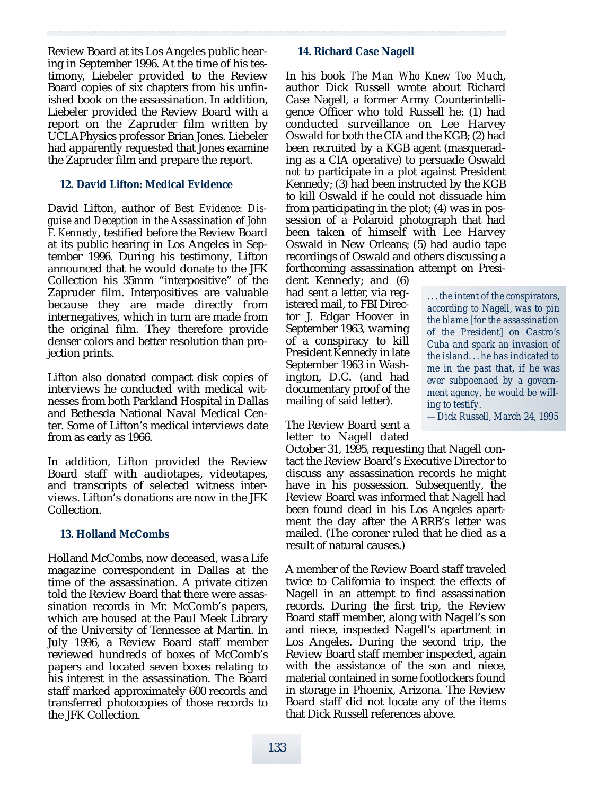Review Board at its Los Angeles public hearing in September 1996. At the time of his testimony, Liebeler provided to the Review Board copies of six chapters from his unfinished book on the assassination. In addition, Liebeler provided the Review Board with a report on the Zapruder film written by UCLAPhysics professor Brian Jones. Liebeler had apparently requested that Jones examine the Zapruder film and prepare the report.

## **12. David Lifton: Medical Evidence**

David Lifton, author of *Best Evidence: Disguise and Deception in the Assassination of John F. Kennedy*, testified before the Review Board at its public hearing in Los Angeles in September 1996. During his testimony, Lifton announced that he would donate to the JFK Collection his 35mm "interpositive" of the Zapruder film. Interpositives are valuable because they are made directly from internegatives, which in turn are made from the original film. They therefore provide denser colors and better resolution than projection prints.

Lifton also donated compact disk copies of interviews he conducted with medical witnesses from both Parkland Hospital in Dallas and Bethesda National Naval Medical Center. Some of Lifton's medical interviews date from as early as 1966.

In addition, Lifton provided the Review Board staff with audiotapes, videotapes, and transcripts of selected witness interviews. Lifton's donations are now in the JFK Collection.

## **13. Holland McCombs**

Holland McCombs, now deceased, was a *Life* magazine correspondent in Dallas at the time of the assassination. A private citizen told the Review Board that there were assassination records in Mr. McComb's papers, which are housed at the Paul Meek Library of the University of Tennessee at Martin. In July 1996, a Review Board staff member reviewed hundreds of boxes of McComb's papers and located seven boxes relating to his interest in the assassination. The Board staff marked approximately 600 records and transferred photocopies of those records to the JFK Collection.

# **14. Richard Case Nagell**

In his book *The Man Who Knew Too Much*, author Dick Russell wrote about Richard Case Nagell, a former Army Counterintelligence Officer who told Russell he: (1) had conducted surveillance on Lee Harvey Oswald for both the CIA and the KGB; (2) had been recruited by a KGB agent (masquerading as a CIA operative) to persuade Oswald *not* to participate in a plot against President Kennedy; (3) had been instructed by the KGB to kill Oswald if he could not dissuade him from participating in the plot; (4) was in possession of a Polaroid photograph that had been taken of himself with Lee Harvey Oswald in New Orleans; (5) had audio tape recordings of Oswald and others discussing a forthcoming assassination attempt on Presi-

dent Kennedy; and (6) had sent a letter, via registered mail, to FBI Director J. Edgar Hoover in September 1963, warning of a conspiracy to kill President Kennedy in late September 1963 in Washington, D.C. (and had documentary proof of the mailing of said letter).

The Review Board sent a letter to Nagell dated

October 31, 1995, requesting that Nagell contact the Review Board's Executive Director to discuss any assassination records he might have in his possession. Subsequently, the Review Board was informed that Nagell had been found dead in his Los Angeles apartment the day after the ARRB's letter was mailed. (The coroner ruled that he died as a result of natural causes.)

A member of the Review Board staff traveled twice to California to inspect the effects of Nagell in an attempt to find assassination records. During the first trip, the Review Board staff member, along with Nagell's son and niece, inspected Nagell's apartment in Los Angeles. During the second trip, the Review Board staff member inspected, again with the assistance of the son and niece, material contained in some footlockers found in storage in Phoenix, Arizona. The Review Board staff did not locate any of the items that Dick Russell references above.

*. . . the intent of the conspirators, according to Nagell, was to pin the blame [for the assassination of the President] on Castro's Cuba and spark an invasion of the island. . .he has indicated to me in the past that, if he was ever subpoenaed by a government agency, he would be willing to testify.*

*— D i ck Russell, M a r ch 24, 1 9 9 5*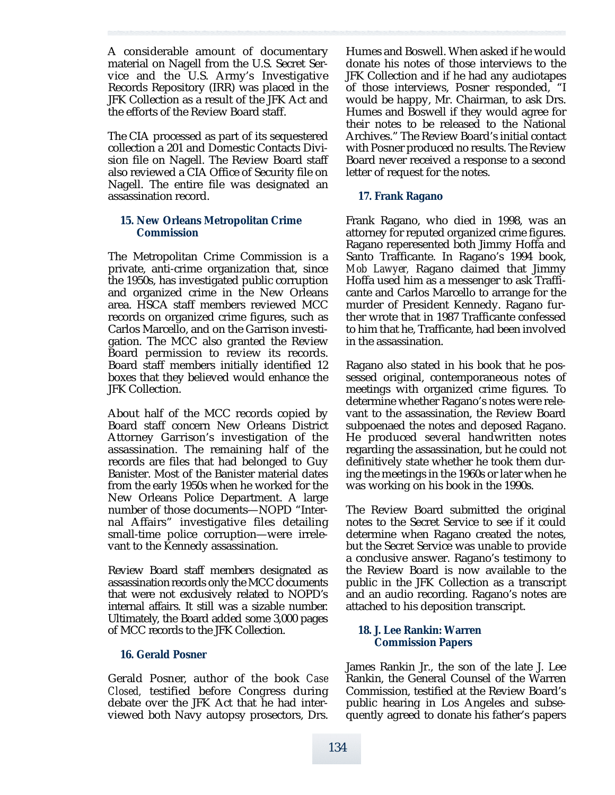A considerable amount of documentary material on Nagell from the U.S. Secret Service and the U.S. Army's Investigative Records Repository (IRR) was placed in the JFK Collection as a result of the JFK Act and the efforts of the Review Board staff.

The CIA processed as part of its sequestered collection a 201 and Domestic Contacts Division file on Nagell. The Review Board staff also reviewed a CIA Office of Security file on Nagell. The entire file was designated an assassination record.

## **15. New Orleans Metropolitan Crime Commission**

The Metropolitan Crime Commission is a private, anti-crime organization that, since the 1950s, has investigated public corruption and organized crime in the New Orleans area. HSCA staff members reviewed MCC records on organized crime figures, such as Carlos Marcello, and on the Garrison investigation. The MCC also granted the Review Board permission to review its records. Board staff members initially identified 12 boxes that they believed would enhance the JFK Collection.

About half of the MCC records copied by Board staff concern New Orleans District Attorney Garrison's investigation of the assassination. The remaining half of the records are files that had belonged to Guy Banister. Most of the Banister material dates from the early 1950s when he worked for the New Orleans Police Department. A large number of those documents—NOPD "Internal Affairs" investigative files detailing small-time police corruption—were irrelevant to the Kennedy assassination.

Review Board staff members designated as assassination records only the MCC documents that were not exclusively related to NOPD's internal affairs. It still was a sizable number. Ultimately, the Board added some 3,000 pages of MCC records to the JFK Collection.

#### **16. Gerald Posner**

Gerald Posner, author of the book Case *Closed*, testified before Congress during debate over the JFK Act that he had interviewed both Navy autopsy prosectors, Drs. Humes and Boswell. When asked if he would donate his notes of those interviews to the JFK Collection and if he had any audiotapes of those interviews, Posner responded, "I would be happy, Mr. Chairman, to ask Drs. Humes and Boswell if they would agree for their notes to be released to the National Archives." The Review Board's initial contact with Posner produced no results. The Review Board never received a response to a second letter of request for the notes.

## **17. Frank Ragano**

Frank Ragano, who died in 1998, was an attorney for reputed organized crime figures. Ragano reperesented both Jimmy Hoffa and Santo Trafficante. In Ragano's 1994 book, *Mob Lawyer,* Ragano claimed that Jimmy Hoffa used him as a messenger to ask Trafficante and Carlos Marcello to arrange for the murder of President Kennedy. Ragano further wrote that in 1987 Trafficante confessed to him that he, Trafficante, had been involved in the assassination.

Ragano also stated in his book that he possessed original, contemporaneous notes of meetings with organized crime figures. To determine whether Ragano's notes were relevant to the assassination, the Review Board subpoenaed the notes and deposed Ragano. He produced several handwritten notes regarding the assassination, but he could not definitively state whether he took them during the meetings in the 1960s or later when he was working on his book in the 1990s.

The Review Board submitted the original notes to the Secret Service to see if it could determine when Ragano created the notes, but the Secret Service was unable to provide a conclusive answer. Ragano's testimony to the Review Board is now available to the public in the JFK Collection as a transcript and an audio recording. Ragano's notes are attached to his deposition transcript.

## **18. J. Lee Rankin: Warren Commission Papers**

James Rankin Jr., the son of the late J. Lee Rankin, the General Counsel of the Warren Commission, testified at the Review Board's public hearing in Los Angeles and subsequently agreed to donate his father's papers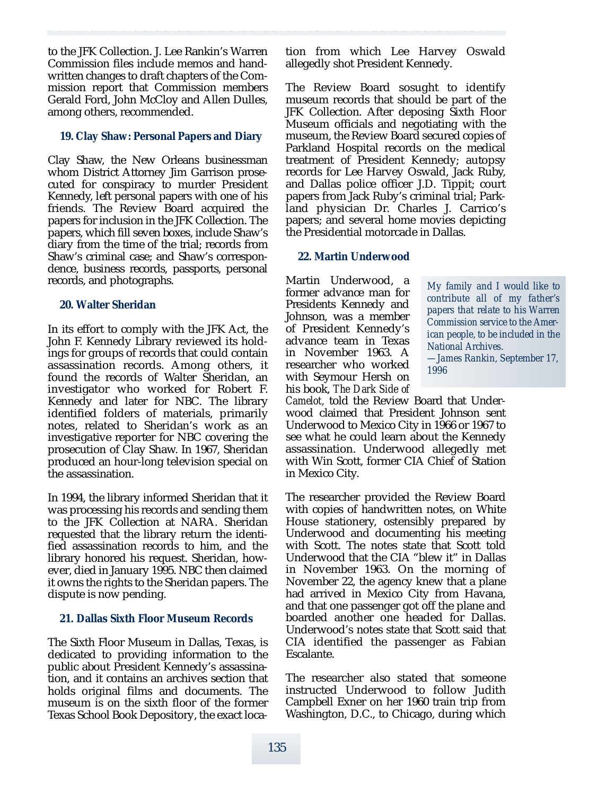to the JFK Collection. J. Lee Rankin's Warren Commission files include memos and handwritten changes to draft chapters of the Commission report that Commission members Gerald Ford, John McCloy and Allen Dulles, among others, recommended.

## **19. Clay Shaw: Personal Papers and Diary**

Clay Shaw, the New Orleans businessman whom District Attorney Jim Garrison prosecuted for conspiracy to murder President Kennedy, left personal papers with one of his friends. The Review Board acquired the papers for inclusion in the JFK Collection. The papers, which fill seven boxes, include Shaw's diary from the time of the trial; records from Shaw's criminal case; and Shaw's correspondence, business records, passports, personal records, and photographs.

#### **20. Walter Sheridan**

In its effort to comply with the JFK Act, the John F. Kennedy Library reviewed its holdings for groups of records that could contain assassination records. Among others, it found the records of Walter Sheridan, an investigator who worked for Robert F. Kennedy and later for NBC. The library identified folders of materials, primarily notes, related to Sheridan's work as an investigative reporter for NBC covering the p rosecution of Clay Shaw. In 1967, Sheridan p roduced an hour-long television special on the assassination.

In 1994, the library informed Sheridan that it was processing his records and sending them to the JFK Collection at NARA. Sheridan requested that the library return the identified assassination records to him, and the library honored his request. Sheridan, however, died in January 1995. NBC then claimed it owns the rights to the Sheridan papers. The dispute is now pending.

## **21. Dallas Sixth Floor Museum Records**

The Sixth Floor Museum in Dallas, Texas, is dedicated to providing information to the public about President Kennedy's assassination, and it contains an archives section that holds original films and documents. The museum is on the sixth floor of the former Texas School Book Depository, the exact location from which Lee Harvey Oswald allegedly shot President Kennedy.

The Review Board sosught to identify museum records that should be part of the JFK Collection. After deposing Sixth Floor Museum officials and negotiating with the museum, the Review Board secured copies of Parkland Hospital records on the medical treatment of President Kennedy; autopsy records for Lee Harvey Oswald, Jack Ruby, and Dallas police officer J.D. Tippit; court papers from Jack Ruby's criminal trial; Parkland physician Dr. Charles J. Carrico's papers; and several home movies depicting the Presidential motorcade in Dallas.

## **22. Martin Underwood**

Martin Underwood, a former advance man for Presidents Kennedy and Johnson, was a member of President Kennedy's advance team in Texas in November 1963. A re searcher who worked with Seymour Hersh on his book, *The Dark Side of*

*My family and I would like to contribute all of my father's papers that relate to his Warren Commission service to the American people, to be included in the* **National Archives.** *—James Rankin, September 17, 1996*

*Camelot, told the Review Board that Under*wood claimed that President Johnson sent Underwood to Mexico City in 1966 or 1967 to see what he could learn about the Kennedy assassination. Underwood allegedly met with Win Scott, former CIA Chief of Station in Mexico City.

The researcher provided the Review Board with copies of handwritten notes, on White House stationery, ostensibly prepared by Underwood and documenting his meeting with Scott. The notes state that Scott told Underwood that the CIA "blew it" in Dallas in November 1963. On the morning of November 22, the agency knew that a plane had arrived in Mexico City from Havana, and that one passenger got off the plane and boarded another one headed for Dallas. Underwood's notes state that Scott said that CIA identified the passenger as Fabian Escalante.

The researcher also stated that someone instructed Underwood to follow Judith Campbell Exner on her 1960 train trip from Washington, D.C., to Chicago, during which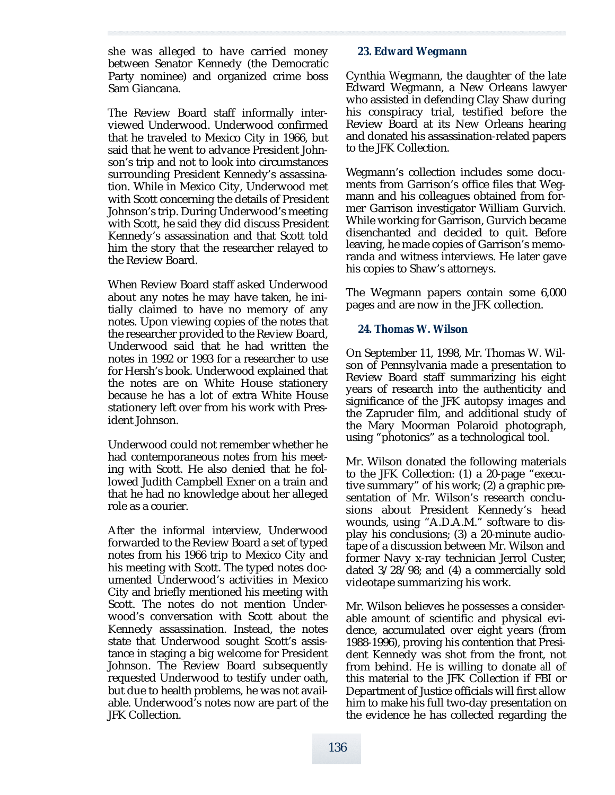she was alleged to have carried money between Senator Kennedy (the Democratic Party nominee) and organized crime boss Sam Giancana.

The Review Board staff informally interviewed Underwood. Underwood confirmed that he traveled to Mexico City in 1966, but said that he went to advance President Johnson's trip and not to look into circumstances surrounding President Kennedy's assassination. While in Mexico City, Underwood met with Scott concerning the details of President Johnson's trip. During Underwood's meeting with Scott, he said they did discuss President Kennedy's assassination and that Scott told him the story that the researcher relayed to the Review Board.

When Review Board staff asked Underwood about any notes he may have taken, he initially claimed to have no memory of any notes. Upon viewing copies of the notes that the researcher provided to the Review Board, Underwood said that he had written the notes in 1992 or 1993 for a researcher to use for Hersh's book. Underwood explained that the notes are on White House stationery because he has a lot of extra White House stationery left over from his work with President Johnson.

Underwood could not remember whether he had contemporaneous notes from his meeting with Scott. He also denied that he followed Judith Campbell Exner on a train and that he had no knowledge about her alleged role as a courier.

After the informal interview, Underwood forwarded to the Review Board a set of typed notes from his 1966 trip to Mexico City and his meeting with Scott. The typed notes documented Underwood's activities in Mexico City and briefly mentioned his meeting with Scott. The notes do not mention Underwood's conversation with Scott about the Kennedy assassination. Instead, the notes state that Underwood sought Scott's assistance in staging a big welcome for President Johnson. The Review Board subsequently requested Underwood to testify under oath, but due to health problems, he was not available. Underwood's notes now are part of the JFK Collection.

## **23. Edward Wegmann**

Cynthia Wegmann, the daughter of the late Edward Wegmann, a New Orleans lawyer who assisted in defending Clay Shaw during his conspiracy trial, testified before the Review Board at its New Orleans hearing and donated his assassination-related papers to the JFK Collection.

Wegmann's collection includes some documents from Garrison's office files that Wegmann and his colleagues obtained from former Garrison investigator William Gurvich. While working for Garrison, Gurvich became disenchanted and decided to quit. Before leaving, he made copies of Garrison's memoranda and witness interviews. He later gave his copies to Shaw's attorneys.

The Wegmann papers contain some 6,000 pages and are now in the JFK collection.

## **24. Thomas W. Wilson**

On September 11, 1998, Mr. Thomas W. Wilson of Pennsylvania made a presentation to Review Board staff summarizing his eight years of research into the authenticity and significance of the JFK autopsy images and the Zapruder film, and additional study of the Mary Moorman Polaroid photograph, using "photonics" as a technological tool.

Mr. Wilson donated the following materials to the JFK Collection: (1) a 20-page "executive summary" of his work; (2) a graphic presentation of Mr. Wilson's research conclusions about President Kennedy's head wounds, using "A.D.A.M." software to display his conclusions; (3) a 20-minute audiotape of a discussion between Mr. Wilson and former Navy x-ray technician Jerrol Custer, dated 3/28/98; and (4) a commercially sold videotape summarizing his work.

Mr. Wilson believes he possesses a considerable amount of scientific and physical evidence, accumulated over eight years (from 1988-1996), proving his contention that President Kennedy was shot from the front, not from behind. He is willing to donate *all* of this material to the JFK Collection if FBI or Department of Justice officials will first allow him to make his full two-day presentation on the evidence he has collected regarding the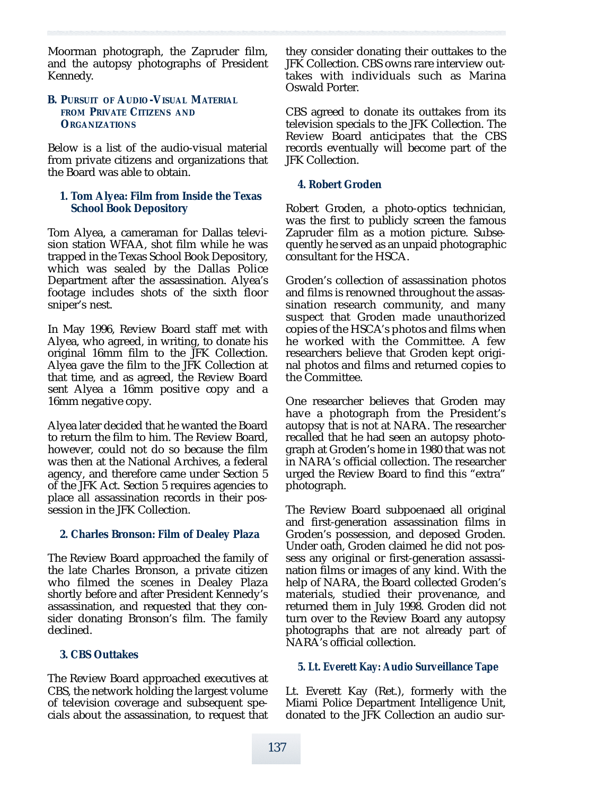Moorman photograph, the Zapruder film, and the autopsy photographs of President Kennedy.

#### **B. PURSUIT OF AUDIO -VISUAL MATERIAL FROM PRIVATE CITIZENS AND ORGANIZATIONS**

Below is a list of the audio-visual material from private citizens and organizations that the Board was able to obtain.

#### **1. Tom Alyea: Film from Inside the Texas School Book Depository**

Tom Alyea, a cameraman for Dallas television station WFAA, shot film while he was trapped in the Texas School Book Depository, which was sealed by the Dallas Police Department after the assassination. Alyea's footage includes shots of the sixth floor sniper's nest.

In May 1996, Review Board staff met with Alyea, who agreed, in writing, to donate his original 16mm film to the JFK Collection. Alyea gave the film to the JFK Collection at that time, and as agreed, the Review Board sent Alyea a 16mm positive copy and a 16mm negative copy.

Alyea later decided that he wanted the Board to return the film to him. The Review Board, however, could not do so because the film was then at the National Archives, a federal agency, and therefore came under Section 5 of the JFK Act. Section 5 requires agencies to place all assassination records in their possession in the JFK Collection.

#### **2. Charles Bronson: Film of Dealey Plaza**

The Review Board approached the family of the late Charles Bronson, a private citizen who filmed the scenes in Dealey Plaza shortly before and after President Kennedy's assassination, and requested that they consider donating Bronson's film. The family declined.

#### **3. CBS Outtakes**

The Review Board approached executives at CBS, the network holding the largest volume of television coverage and subsequent specials about the assassination, to request that they consider donating their outtakes to the JFK Collection. CBS owns rare interview outtakes with individuals such as Marina Oswald Porter.

CBS agreed to donate its outtakes from its television specials to the JFK Collection. The Review Board anticipates that the CBS records eventually will become part of the JFK Collection.

#### **4. Robert Groden**

Robert Groden, a photo-optics technician, was the first to publicly screen the famous Zapruder film as a motion picture. Subsequently he served as an unpaid photographic consultant for the HSCA.

Groden's collection of assassination photos and films is renowned throughout the assassination research community, and many suspect that Groden made unauthorized copies of the HSCA's photos and films when he worked with the Committee. A few re searchers believe that Groden kept original photos and films and returned copies to the Committee.

One researcher believes that Groden may have a photograph from the President's autopsy that is not at NARA. The researcher recalled that he had seen an autopsy photograph at Groden's home in 1980 that was not in NARA's official collection. The researcher urged the Review Board to find this "extra" photograph.

The Review Board subpoenaed all original and first-generation assassination films in Groden's possession, and deposed Groden. Under oath, Groden claimed he did not possess any original or first-generation assassination films or images of any kind. With the help of NARA, the Board collected Groden's materials, studied their provenance, and returned them in July 1998. Groden did not turn over to the Review Board any autopsy photographs that are not already part of NARA's official collection.

## **5. Lt. Everett Kay: Audio Surveillance Tape**

Lt. Everett Kay (Ret.), formerly with the Miami Police Department Intelligence Unit, donated to the JFK Collection an audio sur-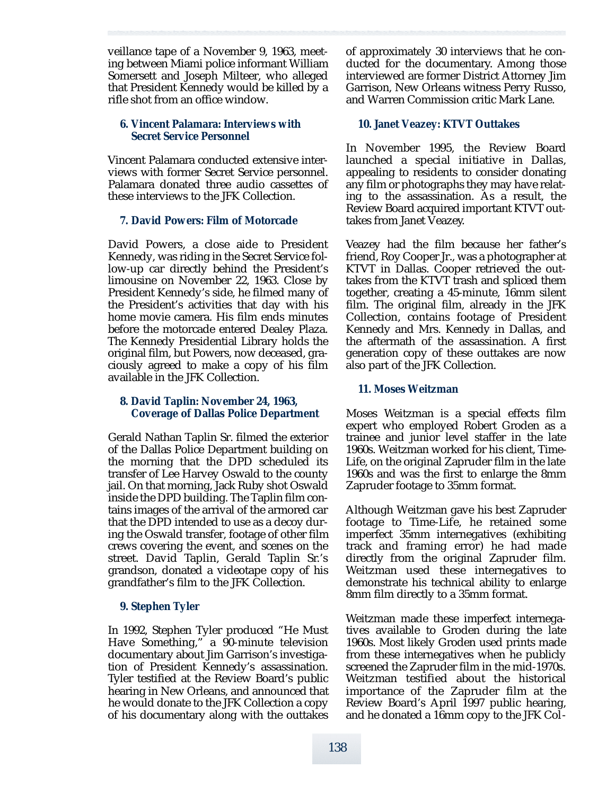veillance tape of a November 9, 1963, meeting between Miami police informant William Somersett and Joseph Milteer, who alleged that President Kennedy would be killed by a rifle shot from an office window.

## **6. Vincent Palamara: Interviews with Secret Service Personnel**

Vincent Palamara conducted extensive interviews with former Secret Service personnel. Palamara donated three audio cassettes of these interviews to the JFK Collection.

## **7. David Powers: Film of Motorcade**

David Powers, a close aide to President Kennedy, was riding in the Secret Service follow-up car directly behind the President's limousine on November 22, 1963. Close by President Kennedy's side, he filmed many of the President's activities that day with his home movie camera. His film ends minutes before the motorcade entered Dealey Plaza. The Kennedy Presidential Library holds the original film, but Powers, now deceased, graciously agreed to make a copy of his film available in the JFK Collection.

## **8. David Taplin: November 24, 1963, Coverage of Dallas Police Department**

Gerald Nathan Taplin Sr. filmed the exterior of the Dallas Police Department building on the morning that the DPD scheduled its transfer of Lee Harvey Oswald to the county jail. On that morning, Jack Ruby shot Oswald inside the DPD building. The Taplin film contains images of the arrival of the armored car that the DPD intended to use as a decoy during the Oswald transfer, footage of other film crews covering the event, and scenes on the street. David Taplin, Gerald Taplin Sr.'s grandson, donated a videotape copy of his grandfather's film to the JFK Collection.

## **9. Stephen Tyler**

In 1992, Stephen Tyler produced "He Must Have Something," a 90-minute television documentary about Jim Garrison's investigation of President Kennedy's assassination. Tyler testified at the Review Board's public hearing in New Orleans, and announced that he would donate to the JFK Collection a copy of his documentary along with the outtakes

of approximately 30 interviews that he conducted for the documentary. Among those interviewed are former District Attorney Jim Garrison, New Orleans witness Perry Russo, and Warren Commission critic Mark Lane.

## **10. Janet Veazey: KTVT Outtakes**

In November 1995, the Review Board launched a special initiative in Dallas, appealing to residents to consider donating any film or photographs they may have relating to the assassination. As a result, the Review Board acquired important KTVT outtakes from Janet Veazey.

Veazey had the film because her father's friend, Roy Cooper Jr., was a photographer at KTVT in Dallas. Cooper retrieved the outtakes from the KTVT trash and spliced them together, creating a 45-minute, 16mm silent film. The original film, already in the JFK Collection, contains footage of President Kennedy and Mrs. Kennedy in Dallas, and the aftermath of the assassination. A first generation copy of these outtakes are now also part of the JFK Collection.

## **11. Moses Weitzman**

Moses Weitzman is a special effects film expert who employed Robert Groden as a trainee and junior level staffer in the late 1960s. Weitzman worked for his client, Time-Life, on the original Zapruder film in the late 1960s and was the first to enlarge the 8mm Zapruder footage to 35mm format.

Although Weitzman gave his best Zapruder footage to Time-Life, he retained some imperfect 35mm internegatives (exhibiting track and framing error) he had made directly from the original Zapruder film. Weitzman used these internegatives to demonstrate his technical ability to enlarge 8mm film directly to a 35mm format.

Weitzman made these imperfect internegatives available to Groden during the late 1960s. Most likely Groden used prints made from these internegatives when he publicly screened the Zapruder film in the mid-1970s. Weitzman testified about the historical importance of the Zapruder film at the Review Board's April 1997 public hearing, and he donated a 16mm copy to the JFK Col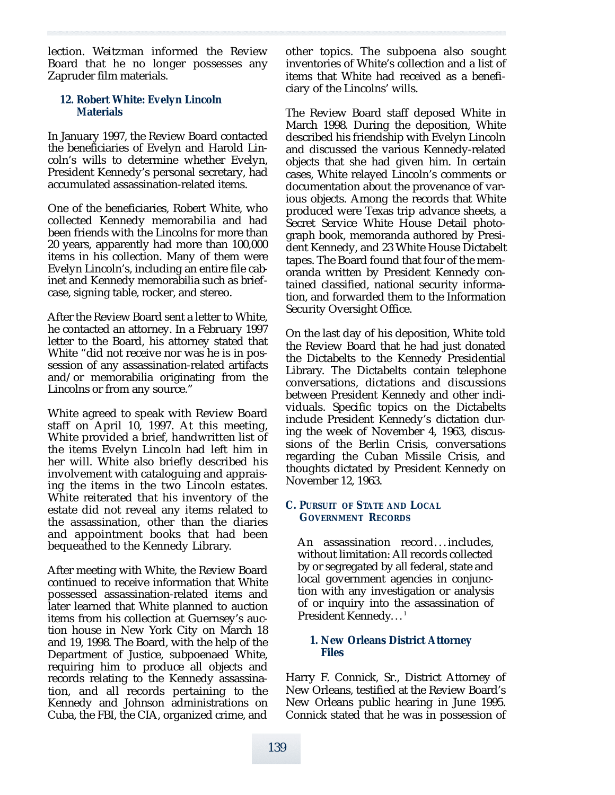lection. Weitzman informed the Review Board that he no longer possesses any Zapruder film materials.

#### **12. Robert White: Evelyn Lincoln Materials**

In January 1997, the Review Board contacted the beneficiaries of Evelyn and Harold Lincoln's wills to determine whether Evelyn, President Kennedy's personal secretary, had accumulated assassination-related items.

One of the beneficiaries, Robert White, who collected Kennedy memorabilia and had been friends with the Lincolns for more than 20 years, apparently had more than 100,000 items in his collection. Many of them were Evelyn Lincoln's, including an entire file cabinet and Kennedy memorabilia such as briefcase, signing table, rocker, and stereo.

After the Review Board sent a letter to White, he contacted an attorney. In a February 1997 letter to the Board, his attorney stated that White "did not receive nor was he is in possession of any assassination-related artifacts and/or memorabilia originating from the Lincolns or from any source."

White agreed to speak with Review Board staff on April 10, 1997. At this meeting, White provided a brief, handwritten list of the items Evelyn Lincoln had left him in her will. White also briefly described his involvement with cataloguing and appraising the items in the two Lincoln estates. White reiterated that his inventory of the estate did not reveal any items related to the assassination, other than the diaries and appointment books that had been bequeathed to the Kennedy Library.

After meeting with White, the Review Board continued to receive information that White possessed assassination-related items and later learned that White planned to auction items from his collection at Guernsey's auction house in New York City on March 18 and 19, 1998. The Board, with the help of the Department of Justice, subpoenaed White, requiring him to produce all objects and records relating to the Kennedy assassination, and all records pertaining to the Kennedy and Johnson administrations on Cuba, the FBI, the CIA, organized crime, and

other topics. The subpoena also sought inventories of White's collection and a list of items that White had received as a beneficiary of the Lincolns' wills.

The Review Board staff deposed White in March 1998. During the deposition, White described his friendship with Evelyn Lincoln and discussed the various Kennedy-related objects that she had given him. In certain cases, White relayed Lincoln's comments or documentation about the provenance of various objects. Among the records that White produced were Texas trip advance sheets, a Secret Service White House Detail photograph book, memoranda authored by President Kennedy, and 23 White House Dictabelt tapes. The Board found that four of the memoranda written by President Kennedy contained classified, national security information, and forwarded them to the Information Security Oversight Office.

On the last day of his deposition, White told the Review Board that he had just donated the Dictabelts to the Kennedy Presidential Library. The Dictabelts contain telephone conversations, dictations and discussions between President Kennedy and other individuals. Specific topics on the Dictabelts include President Kennedy's dictation during the week of November 4, 1963, discussions of the Berlin Crisis, conversations regarding the Cuban Missile Crisis, and thoughts dictated by President Kennedy on November 12, 1963.

# **C. PURSUIT OF STATE AND LOCAL GOVERNMENT RECORDS**

An assassination record... includes, without limitation: All records collected by or segregated by all federal, state and local government agencies in conjunction with any investigation or analysis of or inquiry into the assassination of President Kennedy. . . 1

# **1. New Orleans District Attorney Files**

Harry F. Connick, Sr., District Attorney of New Orleans, testified at the Review Board's New Orleans public hearing in June 1995. Connick stated that he was in possession of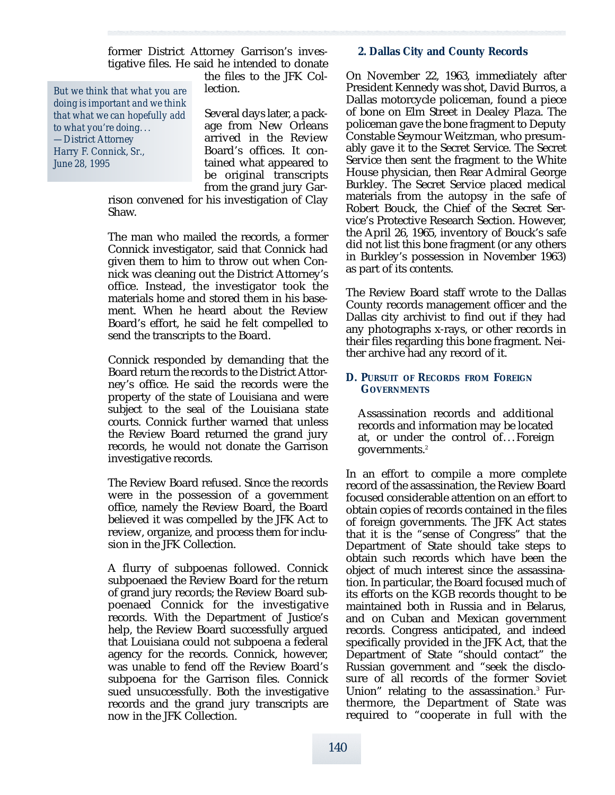former District Attorney Garrison's investigative files. He said he intended to donate

*But we think that what you are doing is important and we think that what we can hopefully add to what you're doing. . . —District Attorney Harry F. Connick,Sr., June 28, 1995*

the files to the JFK Collection.

Several days later, a package from New Orleans arrived in the Review Board's offices. It contained what appeared to be original transcripts from the grand jury Gar-

rison convened for his investigation of Clay Shaw.

The man who mailed the records, a former Connick investigator, said that Connick had given them to him to throw out when Connick was cleaning out the District Attorney's office. Instead, the investigator took the materials home and stored them in his basement. When he heard about the Review Board's effort, he said he felt compelled to send the transcripts to the Board.

Connick responded by demanding that the Board return the records to the District Attorney's office. He said the records were the property of the state of Louisiana and were subject to the seal of the Louisiana state courts. Connick further warned that unless the Review Board returned the grand jury records, he would not donate the Garrison investigative records.

The Review Board refused. Since the records were in the possession of a government office, namely the Review Board, the Board believed it was compelled by the JFK Act to review, organize, and process them for inclusion in the JFK Collection.

A flurry of subpoenas followed. Connick subpoenaed the Review Board for the return of grand jury records; the Review Board subpoenaed Connick for the investigative records. With the Department of Justice's help, the Review Board successfully argued that Louisiana could not subpoena a federal agency for the records. Connick, however, was unable to fend off the Review Board's subpoena for the Garrison files. Connick sued unsuccessfully. Both the investigative records and the grand jury transcripts are now in the JFK Collection.

## **2. Dallas City and County Records**

On November 22, 1963, immediately after President Kennedy was shot, David Burros, a Dallas motorcycle policeman, found a piece of bone on Elm Street in Dealey Plaza. The policeman gave the bone fragment to Deputy Constable Seymour Weitzman, who presumably gave it to the Secret Service. The Secret Service then sent the fragment to the White House physician, then Rear Admiral George Burkley. The Secret Service placed medical materials from the autopsy in the safe of Robert Bouck, the Chief of the Secret Service's Protective Research Section. However, the April 26, 1965, inventory of Bouck's safe did not list this bone fragment (or any others in Burkley's possession in November 1963) as part of its contents.

The Review Board staff wrote to the Dallas County records management officer and the Dallas city archivist to find out if they had any photographs x-rays, or other records in their files regarding this bone fragment. Neither archive had any record of it.

## **D. PURSUIT OF RECORDS FROM FOREIGN GOVERNMENTS**

Assassination records and additional records and information may be located at, or under the control of... Foreign governments.<sup>2</sup>

In an effort to compile a more complete record of the assassination, the Review Board focused considerable attention on an effort to obtain copies of records contained in the files of foreign governments. The JFK Act states that it is the "sense of Congress" that the Department of State should take steps to obtain such records which have been the object of much interest since the assassination. In particular, the Board focused much of its efforts on the KGB records thought to be maintained both in Russia and in Belarus, and on Cuban and Mexican government records. Congress anticipated, and indeed specifically provided in the JFK Act, that the Department of State "should contact" the Russian government and "seek the disclosure of all records of the former Soviet Union" relating to the assassination.<sup>3</sup> Furthermore, the Department of State was required to "cooperate in full with the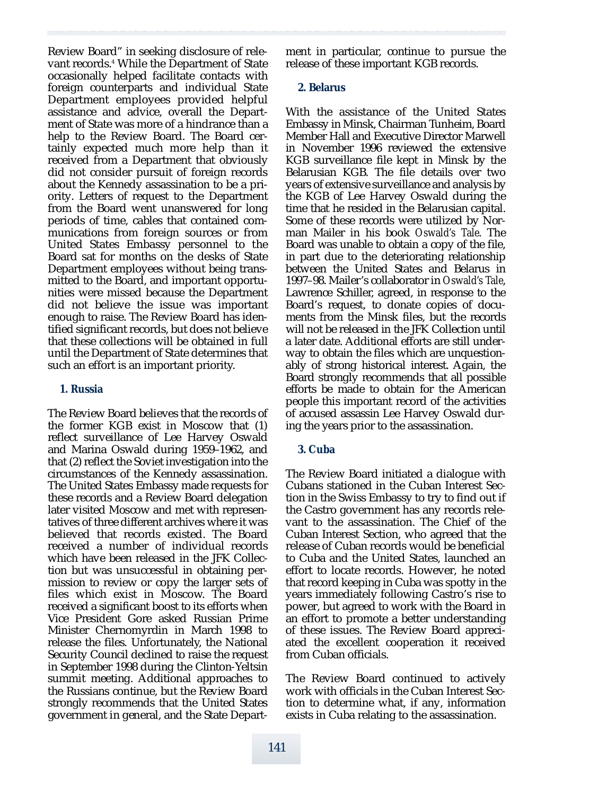Review Board" in seeking disclosure of relevant records.<sup>4</sup> While the Department of State occasionally helped facilitate contacts with foreign counterparts and individual State Department employees provided helpful assistance and advice, overall the Department of State was more of a hindrance than a help to the Review Board. The Board certainly expected much more help than it received from a Department that obviously did not consider pursuit of foreign records about the Kennedy assassination to be a priority. Letters of request to the Department from the Board went unanswered for long periods of time, cables that contained communications from foreign sources or from United States Embassy personnel to the Board sat for months on the desks of State Department employees without being transmitted to the Board, and important opportunities were missed because the Department did not believe the issue was important enough to raise. The Review Board has identified significant records, but does not believe that these collections will be obtained in full until the Department of State determines that such an effort is an important priority.

#### **1. Russia**

The Review Board believes that the records of the former KGB exist in Moscow that (1) reflect surveillance of Lee Harvey Oswald and Marina Oswald during 1959–1962, and that (2) reflect the Soviet investigation into the circumstances of the Kennedy assassination. The United States Embassy made requests for these records and a Review Board delegation later visited Moscow and met with representatives of three different archives where it was believed that records existed. The Board received a number of individual records which have been released in the JFK Collection but was unsuccessful in obtaining permission to review or copy the larger sets of files which exist in Moscow. The Board received a significant boost to its efforts when Vice President Gore asked Russian Prime Minister Chernomyrdin in March 1998 to release the files. Unfortunately, the National Security Council declined to raise the request in September 1998 during the Clinton-Yeltsin summit meeting. Additional approaches to the Russians continue, but the Review Board strongly recommends that the United States government in general, and the State Department in particular, continue to pursue the release of these important KGB records.

## **2. Belarus**

With the assistance of the United States Embassy in Minsk, Chairman Tunheim, Board Member Hall and Executive Director Marwell in November 1996 reviewed the extensive KGB surveillance file kept in Minsk by the Belarusian KGB. The file details over two years of extensive surveillance and analysis by the KGB of Lee Harvey Oswald during the time that he resided in the Belarusian capital. Some of these records were utilized by Norman Mailer in his book Oswald's Tale. The Board was unable to obtain a copy of the file, in part due to the deteriorating relationship between the United States and Belarus in 1997–98. Mailer's collaborator in *Oswald's Tale*. Lawrence Schiller, agreed, in response to the Board's request, to donate copies of documents from the Minsk files, but the records will not be released in the JFK Collection until a later date. Additional efforts are still underway to obtain the files which are unquestionably of strong historical interest. Again, the Board strongly recommends that all possible efforts be made to obtain for the American people this important record of the activities of accused assassin Lee Harvey Oswald during the years prior to the assassination.

# **3. Cuba**

The Review Board initiated a dialogue with Cubans stationed in the Cuban Interest Section in the Swiss Embassy to try to find out if the Castro government has any records relevant to the assassination. The Chief of the Cuban Interest Section, who agreed that the release of Cuban records would be beneficial to Cuba and the United States, launched an effort to locate records. However, he noted that record keeping in Cuba was spotty in the years immediately following Castro's rise to power, but agreed to work with the Board in an effort to promote a better understanding of these issues. The Review Board appreciated the excellent cooperation it received from Cuban officials.

The Review Board continued to actively work with officials in the Cuban Interest Section to determine what, if any, information exists in Cuba relating to the assassination.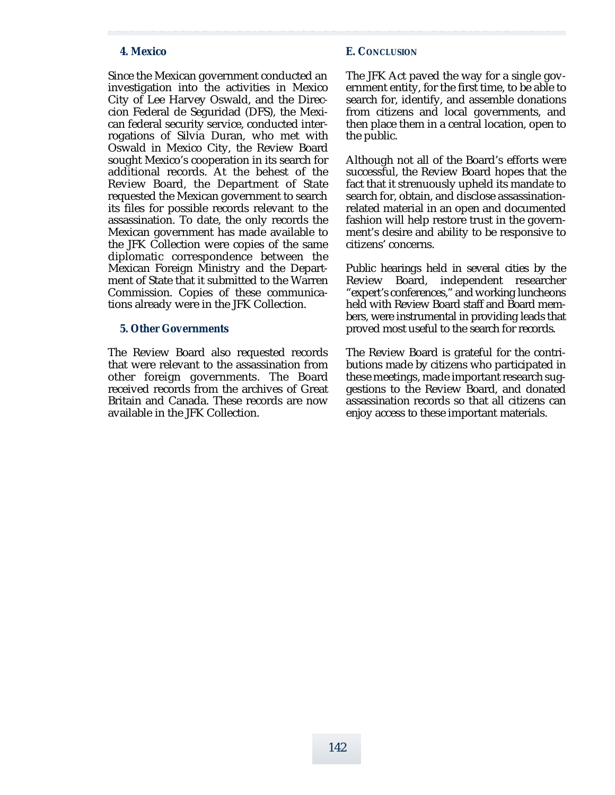#### **4. Mexico**

Since the Mexican government conducted an investigation into the activities in Mexico City of Lee Harvey Oswald, and the Direccion Federal de Seguridad (DFS), the Mexican federal security service, conducted interrogations of Silvia Duran, who met with Oswald in Mexico City, the Review Board sought Mexico's cooperation in its search for additional records. At the behest of the Review Board, the Department of State requested the Mexican government to search its files for possible records relevant to the assassination. To date, the only records the Mexican government has made available to the JFK Collection were copies of the same diplomatic correspondence between the Mexican Foreign Ministry and the Department of State that it submitted to the Warren Commission. Copies of these communications already were in the JFK Collection.

#### **5. Other Governments**

The Review Board also requested records that were relevant to the assassination from other foreign governments. The Board received records from the archives of Great Britain and Canada. These records are now available in the JFK Collection.

#### **E. CONCLUSION**

The JFK Act paved the way for a single government entity, for the first time, to be able to search for, identify, and assemble donations from citizens and local governments, and then place them in a central location, open to the public.

Although not all of the Board's efforts were successful, the Review Board hopes that the fact that it strenuously upheld its mandate to search for, obtain, and disclose assassinationrelated material in an open and documented fashion will help restore trust in the government's desire and ability to be responsive to citizens' concerns.

Public hearings held in several cities by the Review Board, independent researcher "expert's conferences," and working luncheons held with Review Board staff and Board members, were instrumental in providing leads that proved most useful to the search for records.

The Review Board is grateful for the contributions made by citizens who participated in these meetings, made important research suggestions to the Review Board, and donated assassination records so that all citizens can enjoy access to these important materials.